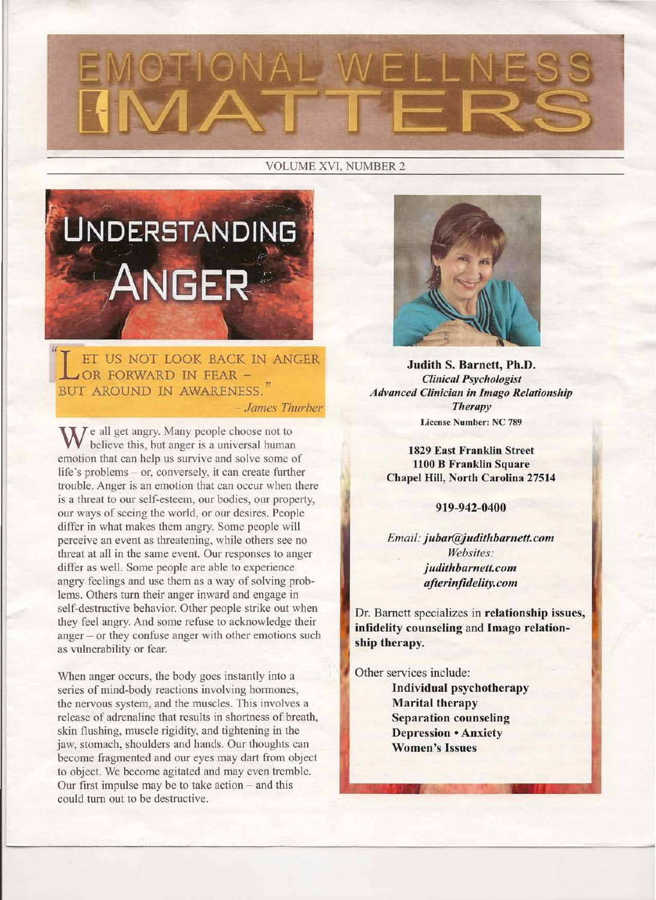# OTIONAL WELLN

#### VOLUME XVI, NUMBER 2



L ET US NOT LOOK BACK<br>LOR FORWARD IN FEAR -ET us NOT LOOK BACK IN ANGER BUT AROUND IN AWARENESS." *- James Thurber*

 $M$  e all get angry. Many people choose not to believe this, but anger is a universal human emotion that can help us survive and solve some of life's problems - or, conversely, it can create further trouble. Anger is an emotion that can occur when there is a threat to our self-esteem, our bodies, our property, our ways of seeing the world, or our desires. People differ in what makes them angry. Some people will perceive an event as threatening, while others see no threat at all in the same event. Our responses to anger differ as well. Some people are able to experience angry feelings and use them as a way of solving problems. Others turn their anger inward and engage in self-destructive behavior. Other people strike out when they feel angry. And some refuse to acknowledge their anger - or they confuse anger with other emotions such as vulnerability or fear.

When anger occurs, the body goes instantly into a series of mind-body reactions involving hormones, the nervous system, and the muscles. This involves a release of adrenaline that results in shortness of breath, skin flushing, muscle rigidity, and tightening in the jaw, stomach, shoulders and hands. Our thoughts can become fragmented and our eyes may dart from object to object. We become agitated and may even tremble. Our first impulse may be to take action  $-$  and this could turn out to be destructive.



Judith S. Barnett, Ph.D. *Clinical Psychologist Advanced Clinician in Imago Relationship Therapy* License Number: NC 789

1829 East Franklin Street 1100 B Franklin Square Chapel Hill, North Carolina 27514

919-942-0400

*Email: jubar@judithbarnett.com Websites: j udithbarnett. com afterinfidelity. com*

Dr. Barnett specializes in relationship issues, infidelity counseling and Imago relationship therapy.

Other services include: Individual psychotherapy Marital therapy Separation counseling Depression • Anxiety Women's Issues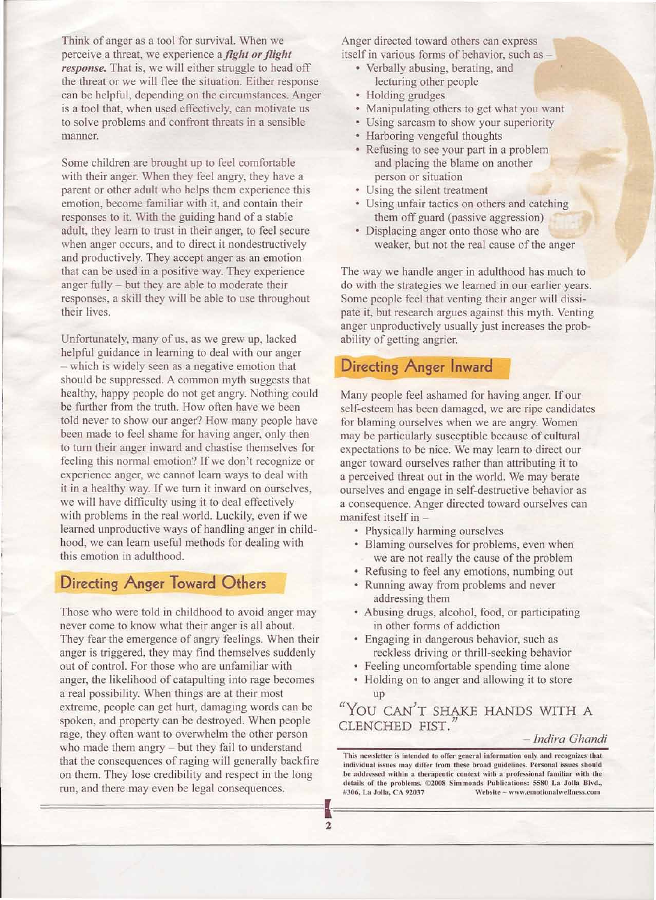Think of anger as a tool for survival. When we perceive a threat, we experience a *fight or flight response.* That is, we will either struggle to head off the threat or we will flee the situation. Either response can be helpful, depending on the circumstances. Anger is a tool that, when used effectively, can motivate us to solve problems and confront threats in a sensible manner.

Some children are brought up to feel comfortable with their anger. When they feel angry, they have a parent or other adult who helps them experience this emotion, become familiar with it, and contain their responses to it. With the guiding hand of a stable adult, they learn to trust in their anger, to feel secure when anger occurs, and to direct it nondestructively and productively. They accept anger as an emotion that can be used in a positive way. They experience anger fully - but they are able to moderate their responses, a skill they will be able to use throughout their lives.

Unfortunately, many of us, as we grew up, lacked helpful guidance in learning to deal with our anger - which is widely seen as a negative emotion that should be suppressed. A common myth suggests that healthy, happy people do not get angry. Nothing could be further from the truth. How often have we been told never to show our anger? How many people have been made to feel shame for having anger, only then to turn their anger inward and chastise themselves for feeling this normal emotion? If we don't recognize or experience anger, we cannot learn ways to deal with it in a healthy way. If we turn it inward on ourselves, we will have difficulty using it to deal effectively with problems in the real world. Luckily, even if we learned unproductive ways of handling anger in childhood, we can learn useful methods for dealing with this emotion in adulthood.

# **Directing Anger Toward Others**

Those who were told in childhood to avoid anger may never come to know what their anger is all about. They fear the emergence of angry feelings. When their anger is triggered, they may find themselves suddenly out of control. For those who are unfamiliar with anger, the likelihood of catapulting into rage becomes a real possibility. When things are at their most extreme, people can get hurt, damaging words can be spoken, and property can be destroyed. When people rage, they often want to overwhelm the other person who made them angry - but they fail to understand that the consequences of raging will generally backfire on them. They lose credibility and respect in the long run, and there may even be legal consequences.

Anger directed toward others can express itself in various forms of behavior, such as-

- Verbally abusing, berating, and lecturing other people
- Holding grudges
- Manipulating others to get what you want
- Using sarcasm to show your superiority
- Harboring vengeful thoughts
- Refusing to see your part in a problem and placing the blame on another person or situation
- Using the silent treatment
- Using unfair tactics on others and catching them off guard (passive aggression)
- Displacing anger onto those who are weaker, but not the real cause of the anger

The way we handle anger in adulthood has much to do with the strategies we learned in our earlier years. Some people feel that venting their anger will dissipate it, but research argues against this myth. Venting anger unproductively usually just increases the probability of getting angrier.

# **Directing Anger Inward**

Many people feel ashamed for having anger. If our self-esteem has been damaged, we are ripe candidates for blaming ourselves when we are angry. Women may be particularly susceptible because of cultural expectations to be nice. We may learn to direct our anger toward ourselves rather than attributing it to a perceived threat out in the world. We may berate ourselves and engage in self-destructive behavior as a consequence. Anger directed toward ourselves can manifest itself in -

- Physically harming ourselves
- Blaming ourselves for problems, even when we are not really the cause of the problem
- Refusing to feel any emotions, numbing out
- Running away from problems and never addressing them
- Abusing drugs, alcohol, food, or participating in other forms of addiction
- Engaging in dangerous behavior, such as reckless driving or thrill-seeking behavior
- Feeling uncomfortable spending time alone
- Holding on to anger and allowing it to store up

"You CAN'T SHAKE HANDS WITH A CLENCHED FIST.

#### *- Indira Ghandi*

This newsletter is intended to offer general information only and recognizes that individual issues may differ from these broad guidelines. Personal issues sbould be addressed within a therapeutic context with a professional familiar with the details of the problems. ©2008 Simmonds Publications: 5580 La Jolla Blvd., #306, La Jolla, CA 92037 Website - www.emotionalwellness.com

======================l========================~ 2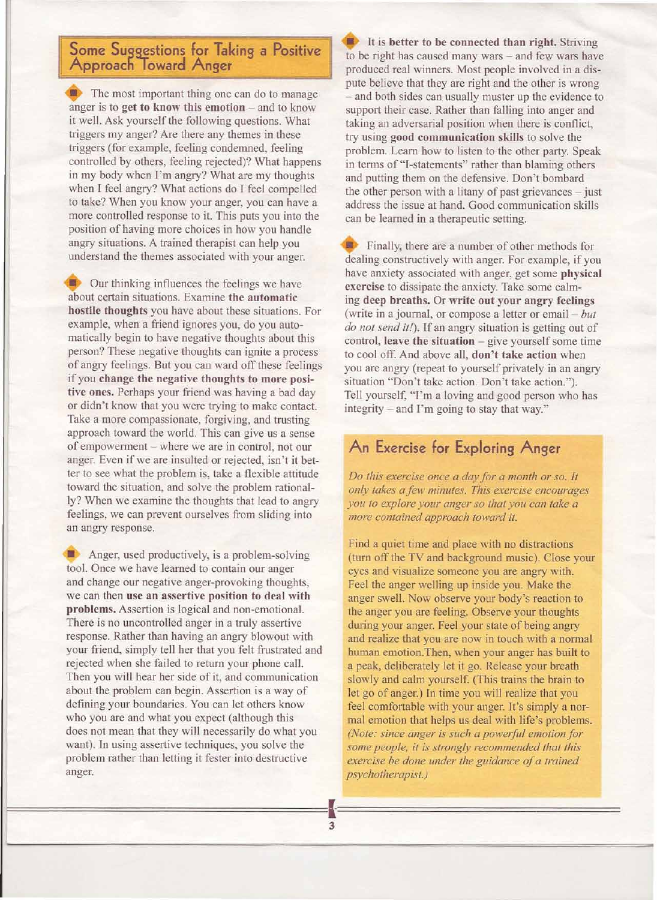### **Some Suggestions for Taking a Positive Approach Ioward Anger <sup>I</sup>**

**The most important thing one can do to manage** anger is to get to know this emotion  $-$  and to know it well. Ask yourself the following questions. What triggers my anger? Are there any themes in these triggers (for example, feeling condemned, feeling controlled by others, feeling rejected)? What happens in my body when I'm angry? What are my thoughts when I feel angry? What actions do I feel compelled to take? When you know your anger, you can have a more controlled response to it. This puts you into the position of having more choices in how you handle angry situations. A trained therapist can help you understand the themes associated with your anger.

Our thinking influences the feelings we have about certain situations. Examine the automatic hostile thoughts you have about these situations. For example, when a friend ignores you, do you automatically begin to have negative thoughts about this person? These negative thoughts can ignite a process of angry feelings. But you can ward off these feelings if you change the negative thoughts to more positive ones. Perhaps your friend was having a bad day or didn't know that you were trying to make contact. Take a more compassionate, forgiving, and trusting approach toward the world. This can give us a sense of empowerment - where we are in control, not our anger. Even if we are insulted or rejected, isn't it better to see what the problem is, take a flexible attitude toward the situation, and solve the problem rationally? When we examine the thoughts that lead to angry feelings, we can prevent ourselves from sliding into an angry response.

**• Anger, used productively, is a problem-solving** tool. Once we have learned to contain our anger and change our negative anger-provoking thoughts, we can then use an assertive position to deal with problems. Assertion is logical and non-emotional. There is no uncontrolled anger in a truly assertive response. Rather than having an angry blowout with your friend, simply tell her that you felt frustrated and rejected when she failed to return your phone call. Then you will hear her side of it, and communication about the problem can begin. Assertion is a way of defining your boundaries. You can let others know who you are and what you expect (although this does not mean that they will necessarily do what you want). In using assertive techniques, you solve the problem rather than letting it fester into destructive anger.

It is better to be connected than right. Striving to be right has caused many wars - and few wars have produced real winners. Most people involved in a dispute believe that they are right and the other is wrong - and both sides can usually muster up the evidence to support their case. Rather than falling into anger and taking an adversarial position when there is conflict, try using good communication skills to solve the problem. Learn how to listen to the other party. Speak in terms of "I-statements" rather than blaming others and putting them on the defensive. Don't bombard the other person with a litany of past grievances - just address the issue at hand. Good communication skills can be learned in a therapeutic setting.

**Finally**, there are a number of other methods for dealing constructively with anger. For example, if you have anxiety associated with anger, get some physical exercise to dissipate the anxiety. Take some calming deep breaths. Or write out your angry feelings (write in a journal, or compose a letter or email- *but do not send it!).* If an angry situation is getting out of  $control, leave the situation – give yourself some time$ to cool off. And above all, don't take action when you are angry (repeat to yourself privately in an angry situation "Don't take action. Don't take action."). Tell yourself, "I'm a loving and good person who has integrity - and I'm going to stay that way."

# **An Exercise for Exploring Anger**

*Do this exercise once a day for a month or so. It only takes a few minutes. This exercise encourages you to explore your anger* so *that you can take a more contained approach toward it.*

Find a quiet time and place with no distractions (turn off the TV and background music). Close your eyes and visualize someone you are angry with. Feel the anger welling up inside you. Make the anger swell. Now observe your body's reaction to the anger you are feeling. Observe your thoughts during your anger. Feel your state of being angry and realize that you are now in touch with a normal human emotion.Then, when your anger has built to a peak, deliberately let it go. Release your breath slowly and calm yourself. (This trains the brain to let go of anger.) In time you will realize that you feel comfortable with your anger. It's simply a normal emotion that helps us deal with life's problems. *(Note: since anger is such a powerful emotion for some people, it is strongly recommended that this exercise be done under the guidance of a trained psychotherapist.)*